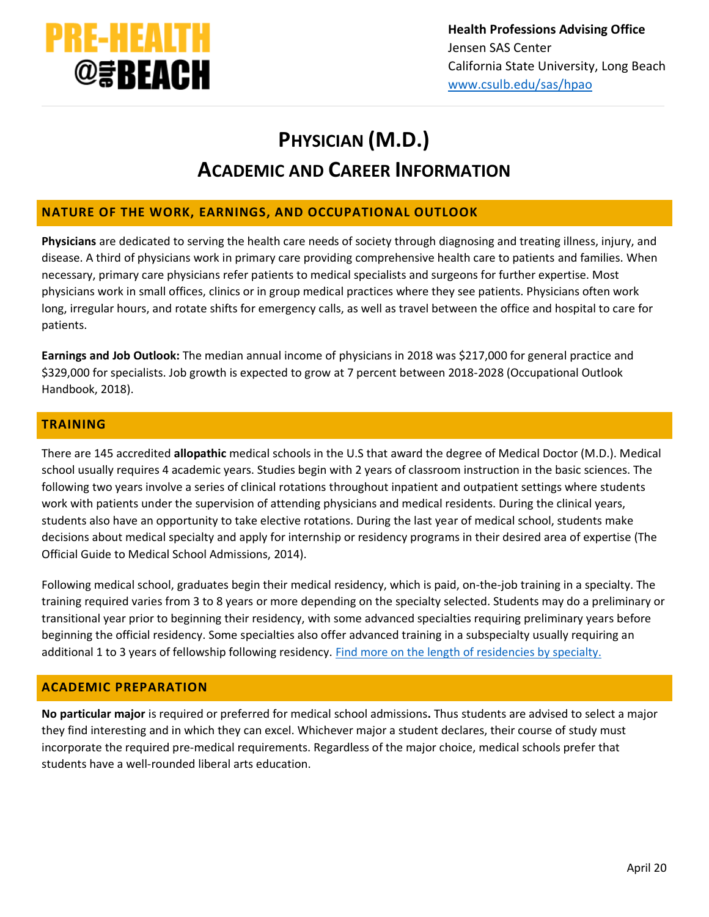

# **PHYSICIAN (M.D.) ACADEMIC AND CAREER INFORMATION**

## **NATURE OF THE WORK, EARNINGS, AND OCCUPATIONAL OUTLOOK**

**Physicians** are dedicated to serving the health care needs of society through diagnosing and treating illness, injury, and disease. A third of physicians work in primary care providing comprehensive health care to patients and families. When necessary, primary care physicians refer patients to medical specialists and surgeons for further expertise. Most physicians work in small offices, clinics or in group medical practices where they see patients. Physicians often work long, irregular hours, and rotate shifts for emergency calls, as well as travel between the office and hospital to care for patients.

**Earnings and Job Outlook:** The median annual income of physicians in 2018 was \$217,000 for general practice and \$329,000 for specialists. Job growth is expected to grow at 7 percent between 2018-2028 (Occupational Outlook Handbook, 2018[\).](http://www.bls.gov/ooh/healthcare/physicians-and-surgeons.htm#tab-6)

## **TRAINING**

There are 145 accredited **allopathic** medical schools in the U.S that award the degree of Medical Doctor (M.D.). Medical school usually requires 4 academic years. Studies begin with 2 years of classroom instruction in the basic sciences. The following two years involve a series of clinical rotations throughout inpatient and outpatient settings where students work with patients under the supervision of attending physicians and medical residents. During the clinical years, students also have an opportunity to take elective rotations. During the last year of medical school, students make decisions about medical specialty and apply for internship or residency programs in their desired area of expertise (The Official Guide to Medical School Admissions, 2014).

Following medical school, graduates begin their medical residency, which is paid, on-the-job training in a specialty. The training required varies from 3 to 8 years or more depending on the specialty selected. Students may do a preliminary or transitional year prior to beginning their residency, with some advanced specialties requiring preliminary years before beginning the official residency. Some specialties also offer advanced training in a subspecialty usually requiring an additional 1 to 3 years of fellowship following residency. [Find more on the length of residencies by specialty.](https://residency.wustl.edu/residencies/length-of-residencies/)

## **ACADEMIC PREPARATION**

**No particular major** is required or preferred for medical school admissions**.** Thus students are advised to select a major they find interesting and in which they can excel. Whichever major a student declares, their course of study must incorporate the required pre‐medical requirements. Regardless of the major choice, medical schools prefer that students have a well‐rounded liberal arts education.